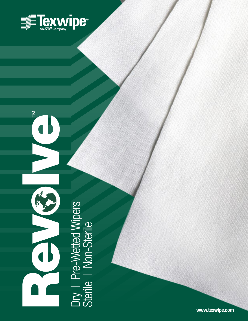

TECHNICAL DATA SHEET IN DE STATE DATA SHEET IN DE

# $\overline{\phantom{1}}$

Dry | Pre-Wetted Wipers<br>Sterile | Non-Sterile Dry 1 Pre-Wetted Wipers Sterile | Non-Sterile

**[www.texwipe.com](http://www.texwipe.com)**

Custom products available upon request.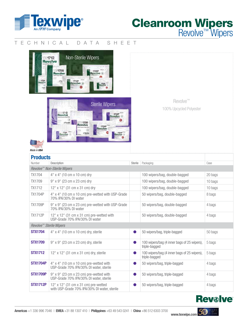

# Cleanroom Wipers Revolve™ Wipers

# TECHNICAL DATA SHEET



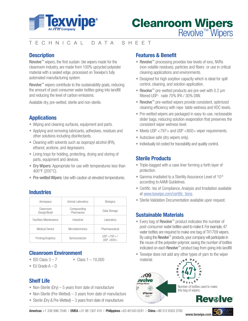

# TECHNICAL DATA SHEET

# **Description**

Revolve™ wipers, the first sustain ble wipers made for the cleanroom industry, are made from 100% upcycled polyester material with a sealed edge, processed on Texwipe's fully automated manufacturing system.

Revolve<sup>™</sup> wipers contribute to the sustainability goals, reducing the amount of post-consumer water bottles going into landfill and reducing the level of carbon emissions.

Available dry, pre-wetted, sterile and non-sterile.

# **Applications**

- Wiping and cleaning surfaces, equipment and parts.
- Applying and removing lubricants, adhesives, residues and other solutions including disinfectants.
- Cleaning with solvents such as isopropyl alcohol (IPA), ethanol, acetone, and degreasers.
- Lining trays for holding, protecting, drying and storing of parts, equipment and devices.
- Dry Wipers: Appropriate for use with temperatures less than 400°F (205°C).
- Pre-wetted Wipers: Use with caution at elevated temperatures.

# **Industries**

| Aerospace                     | Animal Laboratory         | <b>Biologics</b>           |
|-------------------------------|---------------------------|----------------------------|
| Cleanroom<br>Design/Build     | Compounding<br>Pharmacies | Data Storage               |
| <b>Facilities Maintenance</b> | Industrial                | Laboratory                 |
| Medical Device                | <b>Microelectronics</b>   | Pharmaceutical             |
| Printing/Graphics             | Semiconductor             | USP < 797 > /<br>USP < 800 |

## **Cleanroom Environment**

- ISO Class  $3 7$  Class  $1 10,000$
- $\bullet$  EU Grade A D

### **Shelf Life**

- Non-Sterile (Dry)  $-5$  years from date of manufacture
- Non-Sterile (Pre-Wetted)  $-3$  years from date of manufacture
- Sterile (Dry & Pre-Wetted) 3 years from date of manufacture

# **Features & Benefit**

- Revolve™ processing provides low levels of ions, NVRs (non-volatile residues), particles and fibers or use in critical cleaning applications and environments.
- Designed for high sorption capacity which is ideal for spill control, cleaning, and solution application.
- Revolve™ pre-wetted products are pre-wet with 0.2 µm filtered USP- rade 70% IPA / 30% DIW.
- Revolve™ pre-wetted wipers provide consistent, optimized cleaning efficiency with repe table wetness and VOC levels.
- Pre-wetted wipers are packaged in easy-to-use, recloseable slider bags, reducing solution evaporation that preserves the consistent wiper wetness level.
- Meets USP <797> and USP <800> wiper requirements.
- Autoclave safe (dry wipers only).
- Individually lot coded for traceability and quality control.

# **Sterile Products**

- Triple-bagged with a case liner forming a forth layer of protection.
- Gamma irradiated to a Sterility Assurance Level of 10-6 according to AAMI Guidelines.
- Certific tes of Compliance, Analysis and Irradiation available at [www.texwipe.com/certific tions.](http://www.texwipe.com/certifications)
- Sterile Validation Documentation available upon request.

## **Sustainable Materials**

- Every bag of Revolve™ product indicates the number of post-consumer water bottles used to make it. For example, 47 water bottles are required to make one bag of TX1709 wipers. By using the Revolve<sup>™</sup> products, your company will participate in the reuse of the polyester polymer, saving the number of bottles indicated on each Revolve™ product bag from going into landfill
- Texwipe does not add any other types of yarn to the wiper material.